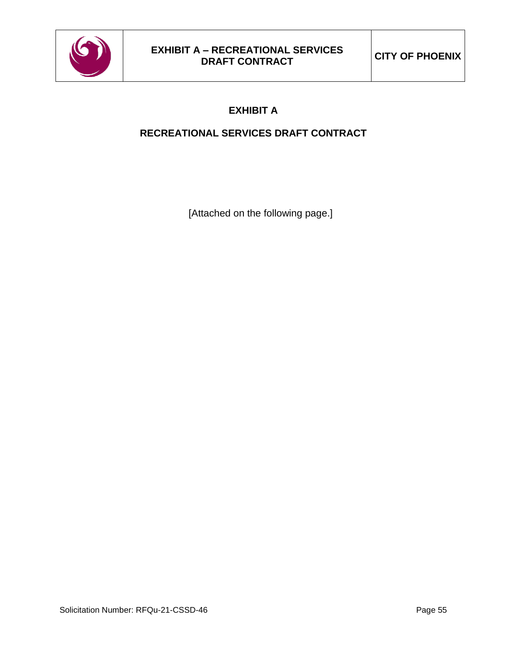

## **RECREATIONAL SERVICES DRAFT CONTRACT**

[Attached on the following page.]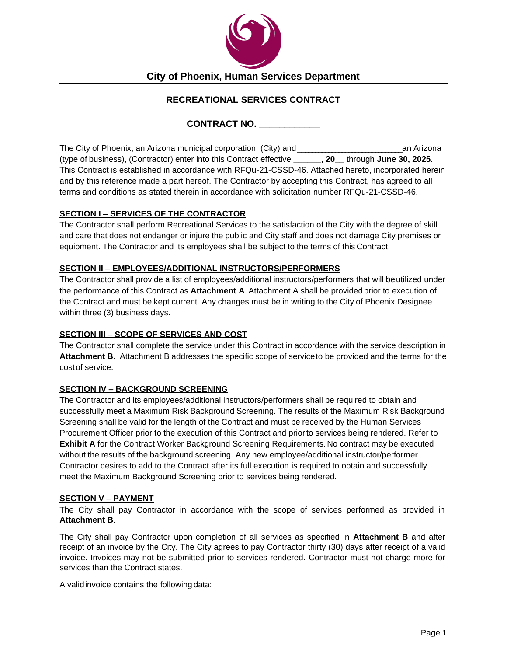

**City of Phoenix, Human Services Department**

## **RECREATIONAL SERVICES CONTRACT**

**CONTRACT NO. \_\_\_\_\_\_\_\_\_\_\_\_**

The City of Phoenix, an Arizona municipal corporation, (City) and\_ \_\_\_\_\_\_\_\_\_\_\_\_\_\_\_\_\_\_\_\_\_\_\_\_\_\_\_\_\_\_ an Arizona (type of business), (Contractor) enter into this Contract effective **\_\_\_\_\_\_, 20\_\_** through **June 30, 2025**. This Contract is established in accordance with RFQu-21-CSSD-46. Attached hereto, incorporated herein and by this reference made a part hereof. The Contractor by accepting this Contract, has agreed to all terms and conditions as stated therein in accordance with solicitation number RFQu-21-CSSD-46.

#### **SECTION I – SERVICES OF THE CONTRACTOR**

The Contractor shall perform Recreational Services to the satisfaction of the City with the degree of skill and care that does not endanger or injure the public and City staff and does not damage City premises or equipment. The Contractor and its employees shall be subject to the terms of this Contract.

#### **SECTION II – EMPLOYEES/ADDITIONAL INSTRUCTORS/PERFORMERS**

The Contractor shall provide a list of employees/additional instructors/performers that will beutilized under the performance of this Contract as **Attachment A**. Attachment A shall be provided prior to execution of the Contract and must be kept current. Any changes must be in writing to the City of Phoenix Designee within three (3) business days.

#### **SECTION III – SCOPE OF SERVICES AND COST**

The Contractor shall complete the service under this Contract in accordance with the service description in **Attachment B**. Attachment B addresses the specific scope of serviceto be provided and the terms for the costof service.

#### **SECTION IV – BACKGROUND SCREENING**

The Contractor and its employees/additional instructors/performers shall be required to obtain and successfully meet a Maximum Risk Background Screening. The results of the Maximum Risk Background Screening shall be valid for the length of the Contract and must be received by the Human Services Procurement Officer prior to the execution of this Contract and priorto services being rendered. Refer to **Exhibit A** for the Contract Worker Background Screening Requirements. No contract may be executed without the results of the background screening. Any new employee/additional instructor/performer Contractor desires to add to the Contract after its full execution is required to obtain and successfully meet the Maximum Background Screening prior to services being rendered.

#### **SECTION V – PAYMENT**

The City shall pay Contractor in accordance with the scope of services performed as provided in **Attachment B**.

The City shall pay Contractor upon completion of all services as specified in **Attachment B** and after receipt of an invoice by the City. The City agrees to pay Contractor thirty (30) days after receipt of a valid invoice. Invoices may not be submitted prior to services rendered. Contractor must not charge more for services than the Contract states.

A validinvoice contains the following data: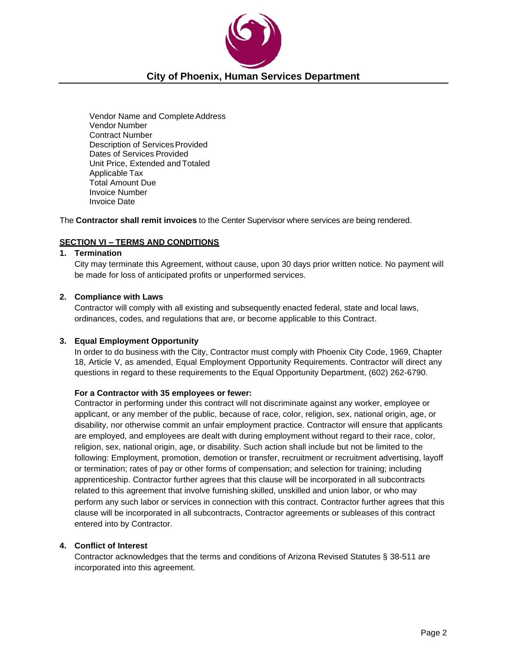

Vendor Name and Complete Address Vendor Number Contract Number Description of Services Provided Dates of Services Provided Unit Price, Extended and Totaled Applicable Tax Total Amount Due Invoice Number Invoice Date

The **Contractor shall remit invoices** to the Center Supervisor where services are being rendered.

#### **SECTION VI – TERMS AND CONDITIONS**

#### **1. Termination**

City may terminate this Agreement, without cause, upon 30 days prior written notice. No payment will be made for loss of anticipated profits or unperformed services.

#### **2. Compliance with Laws**

Contractor will comply with all existing and subsequently enacted federal, state and local laws, ordinances, codes, and regulations that are, or become applicable to this Contract.

#### **3. Equal Employment Opportunity**

In order to do business with the City, Contractor must comply with Phoenix City Code, 1969, Chapter 18, Article V, as amended, Equal Employment Opportunity Requirements. Contractor will direct any questions in regard to these requirements to the Equal Opportunity Department, (602) 262-6790.

#### **For a Contractor with 35 employees or fewer:**

Contractor in performing under this contract will not discriminate against any worker, employee or applicant, or any member of the public, because of race, color, religion, sex, national origin, age, or disability, nor otherwise commit an unfair employment practice. Contractor will ensure that applicants are employed, and employees are dealt with during employment without regard to their race, color, religion, sex, national origin, age, or disability. Such action shall include but not be limited to the following: Employment, promotion, demotion or transfer, recruitment or recruitment advertising, layoff or termination; rates of pay or other forms of compensation; and selection for training; including apprenticeship. Contractor further agrees that this clause will be incorporated in all subcontracts related to this agreement that involve furnishing skilled, unskilled and union labor, or who may perform any such labor or services in connection with this contract. Contractor further agrees that this clause will be incorporated in all subcontracts, Contractor agreements or subleases of this contract entered into by Contractor.

#### **4. Conflict of Interest**

Contractor acknowledges that the terms and conditions of Arizona Revised Statutes § 38-511 are incorporated into this agreement.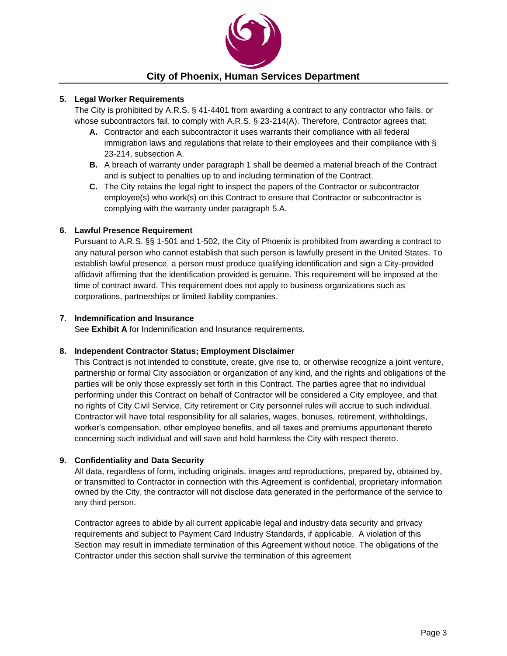

#### **5. Legal Worker Requirements**

The City is prohibited by A.R.S. § 41-4401 from awarding a contract to any contractor who fails, or whose subcontractors fail, to comply with A.R.S. § 23-214(A). Therefore, Contractor agrees that:

- **A.** Contractor and each subcontractor it uses warrants their compliance with all federal immigration laws and regulations that relate to their employees and their compliance with § 23-214, subsection A.
- **B.** A breach of warranty under paragraph 1 shall be deemed a material breach of the Contract and is subject to penalties up to and including termination of the Contract.
- **C.** The City retains the legal right to inspect the papers of the Contractor or subcontractor employee(s) who work(s) on this Contract to ensure that Contractor or subcontractor is complying with the warranty under paragraph 5.A.

#### **6. Lawful Presence Requirement**

Pursuant to A.R.S. §§ 1-501 and 1-502, the City of Phoenix is prohibited from awarding a contract to any natural person who cannot establish that such person is lawfully present in the United States. To establish lawful presence, a person must produce qualifying identification and sign a City-provided affidavit affirming that the identification provided is genuine. This requirement will be imposed at the time of contract award. This requirement does not apply to business organizations such as corporations, partnerships or limited liability companies.

#### **7. Indemnification and Insurance**

See **Exhibit A** for Indemnification and Insurance requirements.

#### **8. Independent Contractor Status; Employment Disclaimer**

This Contract is not intended to constitute, create, give rise to, or otherwise recognize a joint venture, partnership or formal City association or organization of any kind, and the rights and obligations of the parties will be only those expressly set forth in this Contract. The parties agree that no individual performing under this Contract on behalf of Contractor will be considered a City employee, and that no rights of City Civil Service, City retirement or City personnel rules will accrue to such individual. Contractor will have total responsibility for all salaries, wages, bonuses, retirement, withholdings, worker's compensation, other employee benefits, and all taxes and premiums appurtenant thereto concerning such individual and will save and hold harmless the City with respect thereto.

#### **9. Confidentiality and Data Security**

All data, regardless of form, including originals, images and reproductions, prepared by, obtained by, or transmitted to Contractor in connection with this Agreement is confidential, proprietary information owned by the City, the contractor will not disclose data generated in the performance of the service to any third person.

Contractor agrees to abide by all current applicable legal and industry data security and privacy requirements and subject to Payment Card Industry Standards, if applicable. A violation of this Section may result in immediate termination of this Agreement without notice. The obligations of the Contractor under this section shall survive the termination of this agreement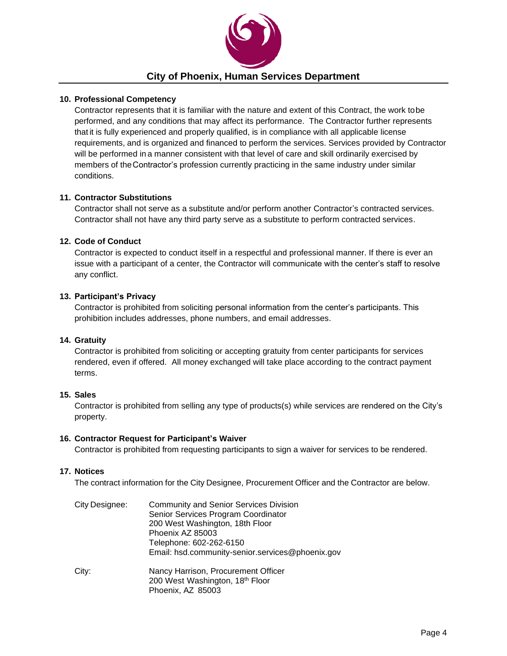

#### **10. Professional Competency**

Contractor represents that it is familiar with the nature and extent of this Contract, the work tobe performed, and any conditions that may affect its performance. The Contractor further represents that it is fully experienced and properly qualified, is in compliance with all applicable license requirements, and is organized and financed to perform the services. Services provided by Contractor will be performed in a manner consistent with that level of care and skill ordinarily exercised by members of theContractor's profession currently practicing in the same industry under similar conditions.

#### **11. Contractor Substitutions**

Contractor shall not serve as a substitute and/or perform another Contractor's contracted services. Contractor shall not have any third party serve as a substitute to perform contracted services.

#### **12. Code of Conduct**

Contractor is expected to conduct itself in a respectful and professional manner. If there is ever an issue with a participant of a center, the Contractor will communicate with the center's staff to resolve any conflict.

#### **13. Participant's Privacy**

Contractor is prohibited from soliciting personal information from the center's participants. This prohibition includes addresses, phone numbers, and email addresses.

#### **14. Gratuity**

Contractor is prohibited from soliciting or accepting gratuity from center participants for services rendered, even if offered. All money exchanged will take place according to the contract payment terms.

#### **15. Sales**

Contractor is prohibited from selling any type of products(s) while services are rendered on the City's property.

#### **16. Contractor Request for Participant's Waiver**

Contractor is prohibited from requesting participants to sign a waiver for services to be rendered.

#### **17. Notices**

The contract information for the City Designee, Procurement Officer and the Contractor are below.

| City Designee: | <b>Community and Senior Services Division</b><br>Senior Services Program Coordinator<br>200 West Washington, 18th Floor<br>Phoenix AZ 85003<br>Telephone: 602-262-6150<br>Email: hsd.community-senior.services@phoenix.gov |
|----------------|----------------------------------------------------------------------------------------------------------------------------------------------------------------------------------------------------------------------------|
| City:          | Nancy Harrison, Procurement Officer<br>200 West Washington, 18th Floor<br>Phoenix, AZ 85003                                                                                                                                |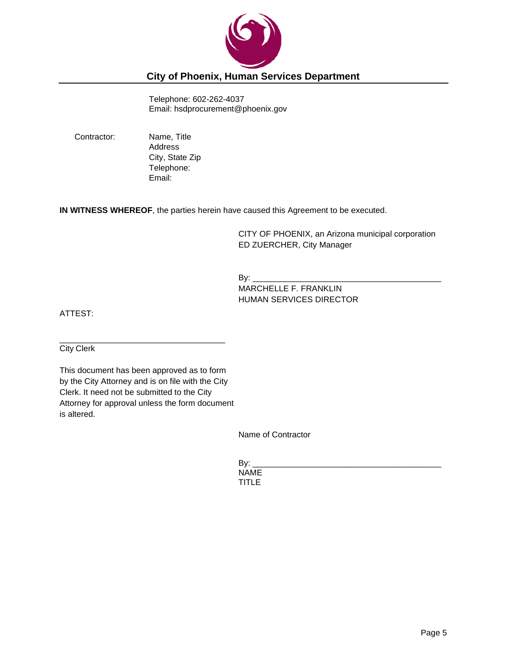

## **City of Phoenix, Human Services Department**

Telephone: 602-262-4037 Email: hsdprocurement@phoenix.gov

Contractor: Name, Title Address City, State Zip Telephone: Email:

**IN WITNESS WHEREOF**, the parties herein have caused this Agreement to be executed.

CITY OF PHOENIX, an Arizona municipal corporation ED ZUERCHER, City Manager

By: \_\_\_\_\_\_\_\_\_\_\_\_\_\_\_\_\_\_\_\_\_\_\_\_\_\_\_\_\_\_\_\_\_\_\_\_\_\_\_\_\_

MARCHELLE F. FRANKLIN HUMAN SERVICES DIRECTOR

ATTEST:

City Clerk

This document has been approved as to form by the City Attorney and is on file with the City Clerk. It need not be submitted to the City Attorney for approval unless the form document is altered.

\_\_\_\_\_\_\_\_\_\_\_\_\_\_\_\_\_\_\_\_\_\_\_\_\_\_\_\_\_\_\_\_\_\_\_\_

Name of Contractor

By: \_\_\_\_\_\_\_\_\_\_\_\_\_\_\_\_\_\_\_\_\_\_\_\_\_\_\_\_\_\_\_\_\_\_\_\_\_\_\_\_\_ NAME TITLE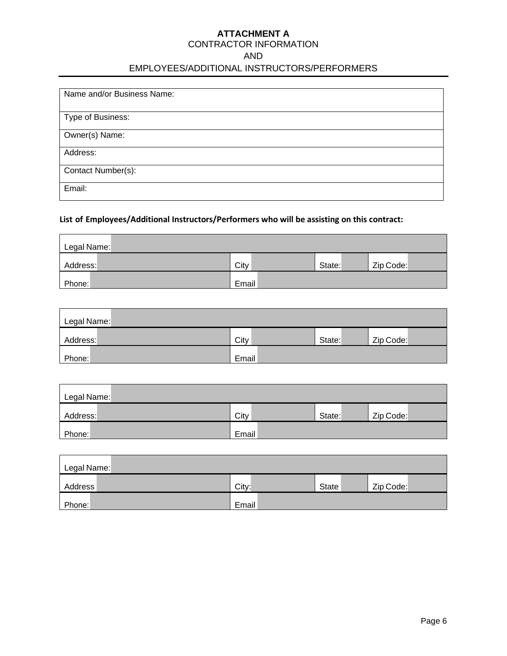# **ATTACHMENT A**

#### CONTRACTOR INFORMATION

AND

## EMPLOYEES/ADDITIONAL INSTRUCTORS/PERFORMERS

| Name and/or Business Name: |
|----------------------------|
| Type of Business:          |
| Owner(s) Name:             |
| Address:                   |
| Contact Number(s):         |
| Email:                     |

#### **List of Employees/Additional Instructors/Performers who will be assisting on this contract:**

| Legal Name: |       |        |           |
|-------------|-------|--------|-----------|
| Address:    | City  | State: | Zip Code: |
| Phone:      | Email |        |           |

| Legal Name: |       |        |           |
|-------------|-------|--------|-----------|
| Address:    | City  | State: | Zip Code: |
| Phone:      | Email |        |           |

| Legal Name: |       |        |           |
|-------------|-------|--------|-----------|
| Address:    | City  | State: | Zip Code: |
| Phone:      | Email |        |           |

| Legal Name: |       |       |           |
|-------------|-------|-------|-----------|
| Address     | City: | State | Zip Code: |
| Phone:      | Email |       |           |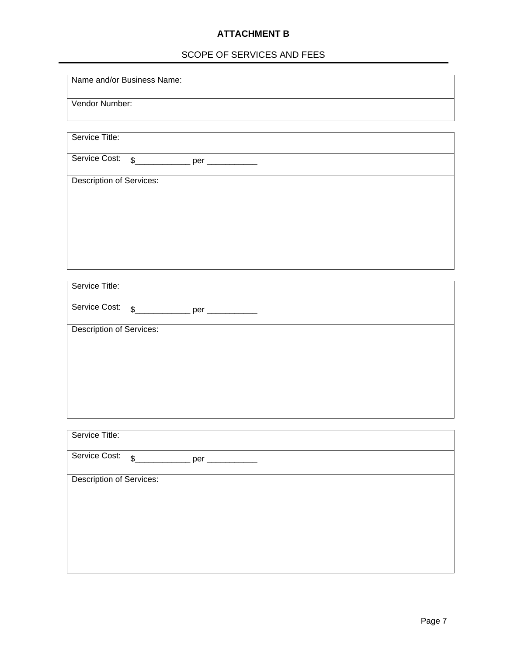## **ATTACHMENT B**

## SCOPE OF SERVICES AND FEES

Name and/or Business Name:

Vendor Number:

| Service Title:                  |                                               |  |
|---------------------------------|-----------------------------------------------|--|
|                                 |                                               |  |
|                                 |                                               |  |
|                                 | Service Cost: \$______________ per _________  |  |
|                                 |                                               |  |
|                                 |                                               |  |
|                                 |                                               |  |
| Description of Services:        |                                               |  |
|                                 |                                               |  |
|                                 |                                               |  |
|                                 |                                               |  |
|                                 |                                               |  |
|                                 |                                               |  |
|                                 |                                               |  |
|                                 |                                               |  |
|                                 |                                               |  |
|                                 |                                               |  |
|                                 |                                               |  |
|                                 |                                               |  |
|                                 |                                               |  |
|                                 |                                               |  |
|                                 |                                               |  |
| Service Title:                  |                                               |  |
|                                 |                                               |  |
|                                 |                                               |  |
|                                 |                                               |  |
|                                 | Service Cost: \$______________ per __________ |  |
|                                 |                                               |  |
|                                 |                                               |  |
| Description of Services:        |                                               |  |
|                                 |                                               |  |
|                                 |                                               |  |
|                                 |                                               |  |
|                                 |                                               |  |
|                                 |                                               |  |
|                                 |                                               |  |
|                                 |                                               |  |
|                                 |                                               |  |
|                                 |                                               |  |
|                                 |                                               |  |
|                                 |                                               |  |
|                                 |                                               |  |
|                                 |                                               |  |
|                                 |                                               |  |
|                                 |                                               |  |
|                                 |                                               |  |
|                                 |                                               |  |
| Service Title:                  |                                               |  |
|                                 |                                               |  |
|                                 |                                               |  |
|                                 |                                               |  |
|                                 | Service Cost: \$_____________ per _________   |  |
|                                 |                                               |  |
|                                 |                                               |  |
| <b>Description of Services:</b> |                                               |  |
|                                 |                                               |  |
|                                 |                                               |  |
|                                 |                                               |  |
|                                 |                                               |  |
|                                 |                                               |  |
|                                 |                                               |  |
|                                 |                                               |  |
|                                 |                                               |  |
|                                 |                                               |  |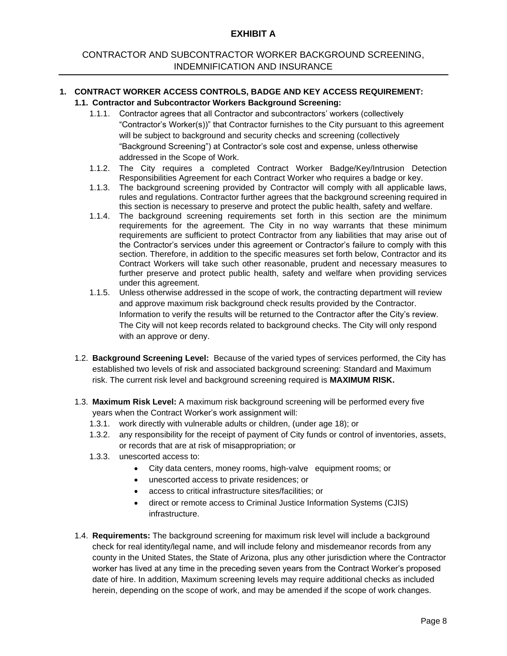## CONTRACTOR AND SUBCONTRACTOR WORKER BACKGROUND SCREENING, INDEMNIFICATION AND INSURANCE

#### **1. CONTRACT WORKER ACCESS CONTROLS, BADGE AND KEY ACCESS REQUIREMENT: 1.1. Contractor and Subcontractor Workers Background Screening:**

- 1.1.1. Contractor agrees that all Contractor and subcontractors' workers (collectively "Contractor's Worker(s))" that Contractor furnishes to the City pursuant to this agreement will be subject to background and security checks and screening (collectively "Background Screening") at Contractor's sole cost and expense, unless otherwise addressed in the Scope of Work.
- 1.1.2. The City requires a completed Contract Worker Badge/Key/Intrusion Detection Responsibilities Agreement for each Contract Worker who requires a badge or key.
- 1.1.3. The background screening provided by Contractor will comply with all applicable laws, rules and regulations. Contractor further agrees that the background screening required in this section is necessary to preserve and protect the public health, safety and welfare.
- 1.1.4. The background screening requirements set forth in this section are the minimum requirements for the agreement. The City in no way warrants that these minimum requirements are sufficient to protect Contractor from any liabilities that may arise out of the Contractor's services under this agreement or Contractor's failure to comply with this section. Therefore, in addition to the specific measures set forth below, Contractor and its Contract Workers will take such other reasonable, prudent and necessary measures to further preserve and protect public health, safety and welfare when providing services under this agreement.
- 1.1.5. Unless otherwise addressed in the scope of work, the contracting department will review and approve maximum risk background check results provided by the Contractor. Information to verify the results will be returned to the Contractor after the City's review. The City will not keep records related to background checks. The City will only respond with an approve or deny.
- 1.2. **Background Screening Level:** Because of the varied types of services performed, the City has established two levels of risk and associated background screening: Standard and Maximum risk. The current risk level and background screening required is **MAXIMUM RISK.**
- 1.3. **Maximum Risk Level:** A maximum risk background screening will be performed every five years when the Contract Worker's work assignment will:
	- 1.3.1. work directly with vulnerable adults or children, (under age 18); or
	- 1.3.2. any responsibility for the receipt of payment of City funds or control of inventories, assets, or records that are at risk of misappropriation; or
	- 1.3.3. unescorted access to:
		- City data centers, money rooms, high-valve equipment rooms; or
		- unescorted access to private residences; or
		- access to critical infrastructure sites/facilities; or
		- direct or remote access to Criminal Justice Information Systems (CJIS) infrastructure.
- 1.4. **Requirements:** The background screening for maximum risk level will include a background check for real identity/legal name, and will include felony and misdemeanor records from any county in the United States, the State of Arizona, plus any other jurisdiction where the Contractor worker has lived at any time in the preceding seven years from the Contract Worker's proposed date of hire. In addition, Maximum screening levels may require additional checks as included herein, depending on the scope of work, and may be amended if the scope of work changes.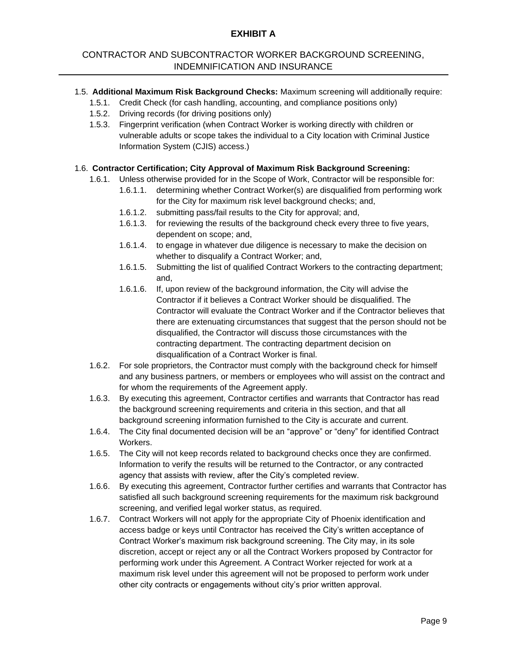## CONTRACTOR AND SUBCONTRACTOR WORKER BACKGROUND SCREENING, INDEMNIFICATION AND INSURANCE

- 1.5. **Additional Maximum Risk Background Checks:** Maximum screening will additionally require:
	- 1.5.1. Credit Check (for cash handling, accounting, and compliance positions only)
	- 1.5.2. Driving records (for driving positions only)
	- 1.5.3. Fingerprint verification (when Contract Worker is working directly with children or vulnerable adults or scope takes the individual to a City location with Criminal Justice Information System (CJIS) access.)

#### 1.6. **Contractor Certification; City Approval of Maximum Risk Background Screening:**

- 1.6.1. Unless otherwise provided for in the Scope of Work, Contractor will be responsible for:
	- 1.6.1.1. determining whether Contract Worker(s) are disqualified from performing work for the City for maximum risk level background checks; and,
	- 1.6.1.2. submitting pass/fail results to the City for approval; and,
	- 1.6.1.3. for reviewing the results of the background check every three to five years, dependent on scope; and,
	- 1.6.1.4. to engage in whatever due diligence is necessary to make the decision on whether to disqualify a Contract Worker; and,
	- 1.6.1.5. Submitting the list of qualified Contract Workers to the contracting department; and,
	- 1.6.1.6. If, upon review of the background information, the City will advise the Contractor if it believes a Contract Worker should be disqualified. The Contractor will evaluate the Contract Worker and if the Contractor believes that there are extenuating circumstances that suggest that the person should not be disqualified, the Contractor will discuss those circumstances with the contracting department. The contracting department decision on disqualification of a Contract Worker is final.
- 1.6.2. For sole proprietors, the Contractor must comply with the background check for himself and any business partners, or members or employees who will assist on the contract and for whom the requirements of the Agreement apply.
- 1.6.3. By executing this agreement, Contractor certifies and warrants that Contractor has read the background screening requirements and criteria in this section, and that all background screening information furnished to the City is accurate and current.
- 1.6.4. The City final documented decision will be an "approve" or "deny" for identified Contract Workers.
- 1.6.5. The City will not keep records related to background checks once they are confirmed. Information to verify the results will be returned to the Contractor, or any contracted agency that assists with review, after the City's completed review.
- 1.6.6. By executing this agreement, Contractor further certifies and warrants that Contractor has satisfied all such background screening requirements for the maximum risk background screening, and verified legal worker status, as required.
- 1.6.7. Contract Workers will not apply for the appropriate City of Phoenix identification and access badge or keys until Contractor has received the City's written acceptance of Contract Worker's maximum risk background screening. The City may, in its sole discretion, accept or reject any or all the Contract Workers proposed by Contractor for performing work under this Agreement. A Contract Worker rejected for work at a maximum risk level under this agreement will not be proposed to perform work under other city contracts or engagements without city's prior written approval.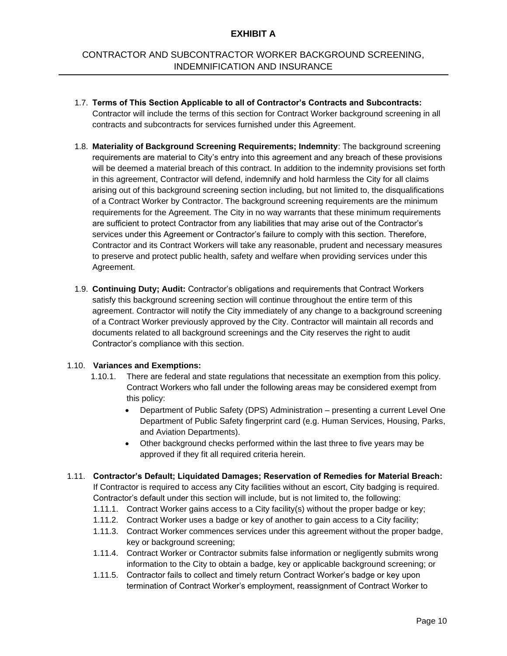## CONTRACTOR AND SUBCONTRACTOR WORKER BACKGROUND SCREENING, INDEMNIFICATION AND INSURANCE

- 1.7. **Terms of This Section Applicable to all of Contractor's Contracts and Subcontracts:**  Contractor will include the terms of this section for Contract Worker background screening in all contracts and subcontracts for services furnished under this Agreement.
- 1.8. **Materiality of Background Screening Requirements; Indemnity**: The background screening requirements are material to City's entry into this agreement and any breach of these provisions will be deemed a material breach of this contract. In addition to the indemnity provisions set forth in this agreement, Contractor will defend, indemnify and hold harmless the City for all claims arising out of this background screening section including, but not limited to, the disqualifications of a Contract Worker by Contractor. The background screening requirements are the minimum requirements for the Agreement. The City in no way warrants that these minimum requirements are sufficient to protect Contractor from any liabilities that may arise out of the Contractor's services under this Agreement or Contractor's failure to comply with this section. Therefore, Contractor and its Contract Workers will take any reasonable, prudent and necessary measures to preserve and protect public health, safety and welfare when providing services under this Agreement.
- 1.9. **Continuing Duty; Audit:** Contractor's obligations and requirements that Contract Workers satisfy this background screening section will continue throughout the entire term of this agreement. Contractor will notify the City immediately of any change to a background screening of a Contract Worker previously approved by the City. Contractor will maintain all records and documents related to all background screenings and the City reserves the right to audit Contractor's compliance with this section.

#### 1.10. **Variances and Exemptions:**

- 1.10.1. There are federal and state regulations that necessitate an exemption from this policy. Contract Workers who fall under the following areas may be considered exempt from this policy:
	- Department of Public Safety (DPS) Administration presenting a current Level One Department of Public Safety fingerprint card (e.g. Human Services, Housing, Parks, and Aviation Departments).
	- Other background checks performed within the last three to five years may be approved if they fit all required criteria herein.
- 1.11. **Contractor's Default; Liquidated Damages; Reservation of Remedies for Material Breach:**  If Contractor is required to access any City facilities without an escort, City badging is required. Contractor's default under this section will include, but is not limited to, the following:
	- 1.11.1. Contract Worker gains access to a City facility(s) without the proper badge or key;
	- 1.11.2. Contract Worker uses a badge or key of another to gain access to a City facility;
	- 1.11.3. Contract Worker commences services under this agreement without the proper badge, key or background screening;
	- 1.11.4. Contract Worker or Contractor submits false information or negligently submits wrong information to the City to obtain a badge, key or applicable background screening; or
	- 1.11.5. Contractor fails to collect and timely return Contract Worker's badge or key upon termination of Contract Worker's employment, reassignment of Contract Worker to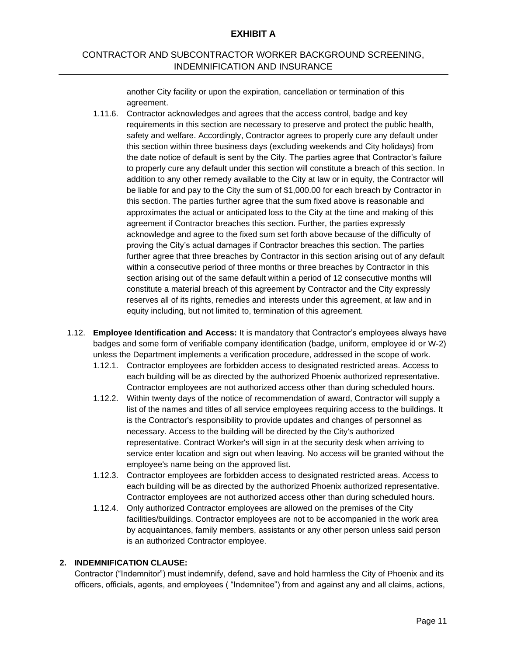## CONTRACTOR AND SUBCONTRACTOR WORKER BACKGROUND SCREENING, INDEMNIFICATION AND INSURANCE

another City facility or upon the expiration, cancellation or termination of this agreement.

- 1.11.6. Contractor acknowledges and agrees that the access control, badge and key requirements in this section are necessary to preserve and protect the public health, safety and welfare. Accordingly, Contractor agrees to properly cure any default under this section within three business days (excluding weekends and City holidays) from the date notice of default is sent by the City. The parties agree that Contractor's failure to properly cure any default under this section will constitute a breach of this section. In addition to any other remedy available to the City at law or in equity, the Contractor will be liable for and pay to the City the sum of \$1,000.00 for each breach by Contractor in this section. The parties further agree that the sum fixed above is reasonable and approximates the actual or anticipated loss to the City at the time and making of this agreement if Contractor breaches this section. Further, the parties expressly acknowledge and agree to the fixed sum set forth above because of the difficulty of proving the City's actual damages if Contractor breaches this section. The parties further agree that three breaches by Contractor in this section arising out of any default within a consecutive period of three months or three breaches by Contractor in this section arising out of the same default within a period of 12 consecutive months will constitute a material breach of this agreement by Contractor and the City expressly reserves all of its rights, remedies and interests under this agreement, at law and in equity including, but not limited to, termination of this agreement.
- 1.12. **Employee Identification and Access:** It is mandatory that Contractor's employees always have badges and some form of verifiable company identification (badge, uniform, employee id or W-2) unless the Department implements a verification procedure, addressed in the scope of work.
	- 1.12.1. Contractor employees are forbidden access to designated restricted areas. Access to each building will be as directed by the authorized Phoenix authorized representative. Contractor employees are not authorized access other than during scheduled hours.
	- 1.12.2. Within twenty days of the notice of recommendation of award, Contractor will supply a list of the names and titles of all service employees requiring access to the buildings. It is the Contractor's responsibility to provide updates and changes of personnel as necessary. Access to the building will be directed by the City's authorized representative. Contract Worker's will sign in at the security desk when arriving to service enter location and sign out when leaving. No access will be granted without the employee's name being on the approved list.
	- 1.12.3. Contractor employees are forbidden access to designated restricted areas. Access to each building will be as directed by the authorized Phoenix authorized representative. Contractor employees are not authorized access other than during scheduled hours.
	- 1.12.4. Only authorized Contractor employees are allowed on the premises of the City facilities/buildings. Contractor employees are not to be accompanied in the work area by acquaintances, family members, assistants or any other person unless said person is an authorized Contractor employee.

#### **2. INDEMNIFICATION CLAUSE:**

Contractor ("Indemnitor") must indemnify, defend, save and hold harmless the City of Phoenix and its officers, officials, agents, and employees ( "Indemnitee") from and against any and all claims, actions,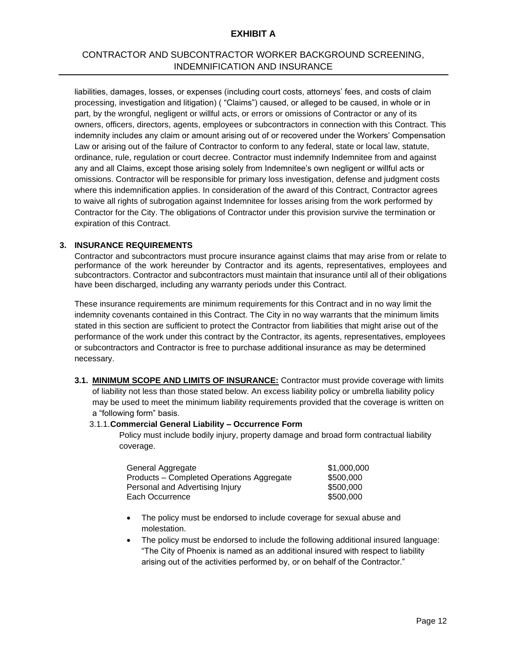## CONTRACTOR AND SUBCONTRACTOR WORKER BACKGROUND SCREENING, INDEMNIFICATION AND INSURANCE

liabilities, damages, losses, or expenses (including court costs, attorneys' fees, and costs of claim processing, investigation and litigation) ( "Claims") caused, or alleged to be caused, in whole or in part, by the wrongful, negligent or willful acts, or errors or omissions of Contractor or any of its owners, officers, directors, agents, employees or subcontractors in connection with this Contract. This indemnity includes any claim or amount arising out of or recovered under the Workers' Compensation Law or arising out of the failure of Contractor to conform to any federal, state or local law, statute, ordinance, rule, regulation or court decree. Contractor must indemnify Indemnitee from and against any and all Claims, except those arising solely from Indemnitee's own negligent or willful acts or omissions. Contractor will be responsible for primary loss investigation, defense and judgment costs where this indemnification applies. In consideration of the award of this Contract, Contractor agrees to waive all rights of subrogation against Indemnitee for losses arising from the work performed by Contractor for the City. The obligations of Contractor under this provision survive the termination or expiration of this Contract.

#### **3. INSURANCE REQUIREMENTS**

Contractor and subcontractors must procure insurance against claims that may arise from or relate to performance of the work hereunder by Contractor and its agents, representatives, employees and subcontractors. Contractor and subcontractors must maintain that insurance until all of their obligations have been discharged, including any warranty periods under this Contract.

These insurance requirements are minimum requirements for this Contract and in no way limit the indemnity covenants contained in this Contract. The City in no way warrants that the minimum limits stated in this section are sufficient to protect the Contractor from liabilities that might arise out of the performance of the work under this contract by the Contractor, its agents, representatives, employees or subcontractors and Contractor is free to purchase additional insurance as may be determined necessary.

**3.1. MINIMUM SCOPE AND LIMITS OF INSURANCE:** Contractor must provide coverage with limits of liability not less than those stated below. An excess liability policy or umbrella liability policy may be used to meet the minimum liability requirements provided that the coverage is written on a "following form" basis.

#### 3.1.1.**Commercial General Liability – Occurrence Form**

Policy must include bodily injury, property damage and broad form contractual liability coverage.

| General Aggregate                         | \$1,000,000 |
|-------------------------------------------|-------------|
| Products – Completed Operations Aggregate | \$500,000   |
| Personal and Advertising Injury           | \$500,000   |
| Each Occurrence                           | \$500,000   |

- The policy must be endorsed to include coverage for sexual abuse and molestation.
- The policy must be endorsed to include the following additional insured language: "The City of Phoenix is named as an additional insured with respect to liability arising out of the activities performed by, or on behalf of the Contractor."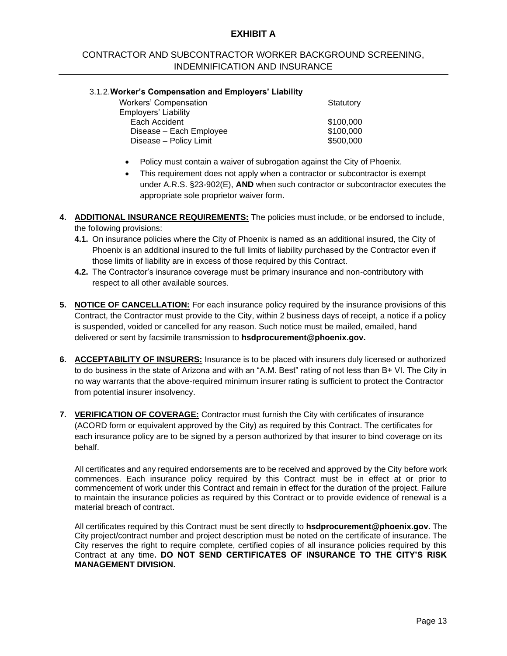## CONTRACTOR AND SUBCONTRACTOR WORKER BACKGROUND SCREENING, INDEMNIFICATION AND INSURANCE

#### 3.1.2.**Worker's Compensation and Employers' Liability**

| Workers' Compensation   | Statutory |
|-------------------------|-----------|
| Employers' Liability    |           |
| Each Accident           | \$100,000 |
| Disease - Each Employee | \$100,000 |
| Disease - Policy Limit  | \$500,000 |
|                         |           |

- Policy must contain a waiver of subrogation against the City of Phoenix.
- This requirement does not apply when a contractor or subcontractor is exempt under A.R.S. §23-902(E), **AND** when such contractor or subcontractor executes the appropriate sole proprietor waiver form.
- **4. ADDITIONAL INSURANCE REQUIREMENTS:** The policies must include, or be endorsed to include, the following provisions:
	- **4.1.** On insurance policies where the City of Phoenix is named as an additional insured, the City of Phoenix is an additional insured to the full limits of liability purchased by the Contractor even if those limits of liability are in excess of those required by this Contract.
	- **4.2.** The Contractor's insurance coverage must be primary insurance and non-contributory with respect to all other available sources.
- **5. NOTICE OF CANCELLATION:** For each insurance policy required by the insurance provisions of this Contract, the Contractor must provide to the City, within 2 business days of receipt, a notice if a policy is suspended, voided or cancelled for any reason. Such notice must be mailed, emailed, hand delivered or sent by facsimile transmission to **hsdprocurement@phoenix.gov.**
- **6. ACCEPTABILITY OF INSURERS:** Insurance is to be placed with insurers duly licensed or authorized to do business in the state of Arizona and with an "A.M. Best" rating of not less than B+ VI. The City in no way warrants that the above-required minimum insurer rating is sufficient to protect the Contractor from potential insurer insolvency.
- **7. VERIFICATION OF COVERAGE:** Contractor must furnish the City with certificates of insurance (ACORD form or equivalent approved by the City) as required by this Contract. The certificates for each insurance policy are to be signed by a person authorized by that insurer to bind coverage on its behalf.

All certificates and any required endorsements are to be received and approved by the City before work commences. Each insurance policy required by this Contract must be in effect at or prior to commencement of work under this Contract and remain in effect for the duration of the project. Failure to maintain the insurance policies as required by this Contract or to provide evidence of renewal is a material breach of contract.

All certificates required by this Contract must be sent directly to **hsdprocurement@phoenix.gov.** The City project/contract number and project description must be noted on the certificate of insurance. The City reserves the right to require complete, certified copies of all insurance policies required by this Contract at any time**. DO NOT SEND CERTIFICATES OF INSURANCE TO THE CITY'S RISK MANAGEMENT DIVISION.**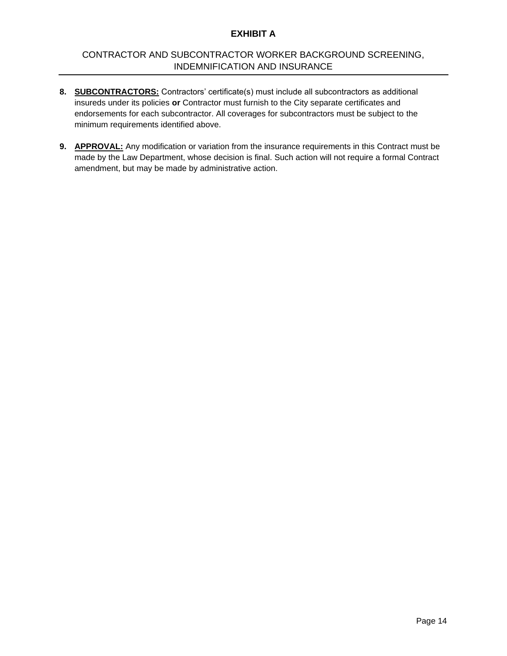## CONTRACTOR AND SUBCONTRACTOR WORKER BACKGROUND SCREENING, INDEMNIFICATION AND INSURANCE

- **8. SUBCONTRACTORS:** Contractors' certificate(s) must include all subcontractors as additional insureds under its policies **or** Contractor must furnish to the City separate certificates and endorsements for each subcontractor. All coverages for subcontractors must be subject to the minimum requirements identified above.
- **9. APPROVAL:** Any modification or variation from the insurance requirements in this Contract must be made by the Law Department, whose decision is final. Such action will not require a formal Contract amendment, but may be made by administrative action.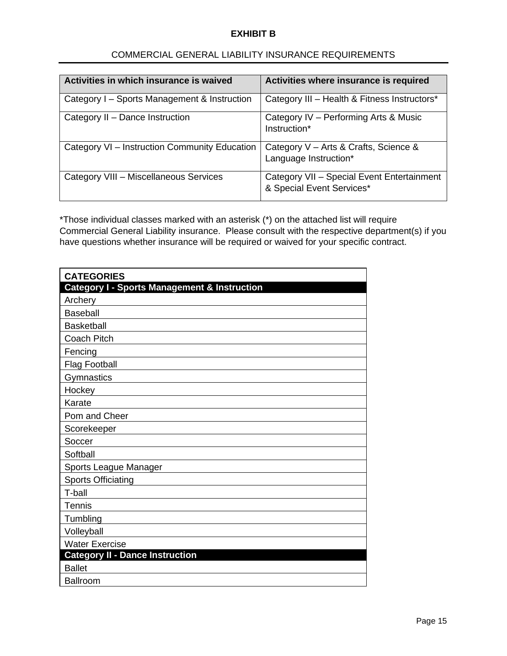| Activities in which insurance is waived       | Activities where insurance is required                                  |
|-----------------------------------------------|-------------------------------------------------------------------------|
|                                               |                                                                         |
| Category I – Sports Management & Instruction  | Category III - Health & Fitness Instructors*                            |
| Category II - Dance Instruction               | Category IV - Performing Arts & Music<br>Instruction*                   |
| Category VI - Instruction Community Education | Category V - Arts & Crafts, Science &<br>Language Instruction*          |
| Category VIII - Miscellaneous Services        | Category VII - Special Event Entertainment<br>& Special Event Services* |

## COMMERCIAL GENERAL LIABILITY INSURANCE REQUIREMENTS

\*Those individual classes marked with an asterisk (\*) on the attached list will require Commercial General Liability insurance. Please consult with the respective department(s) if you have questions whether insurance will be required or waived for your specific contract.

| <b>CATEGORIES</b>                                       |
|---------------------------------------------------------|
| <b>Category I - Sports Management &amp; Instruction</b> |
| Archery                                                 |
| <b>Baseball</b>                                         |
| <b>Basketball</b>                                       |
| <b>Coach Pitch</b>                                      |
| Fencing                                                 |
| <b>Flag Football</b>                                    |
| Gymnastics                                              |
| Hockey                                                  |
| Karate                                                  |
| Pom and Cheer                                           |
| Scorekeeper                                             |
| Soccer                                                  |
| Softball                                                |
| Sports League Manager                                   |
| <b>Sports Officiating</b>                               |
| T-ball                                                  |
| Tennis                                                  |
| Tumbling                                                |
| Volleyball                                              |
| <b>Water Exercise</b>                                   |
| <b>Category II - Dance Instruction</b>                  |
| <b>Ballet</b>                                           |
| Ballroom                                                |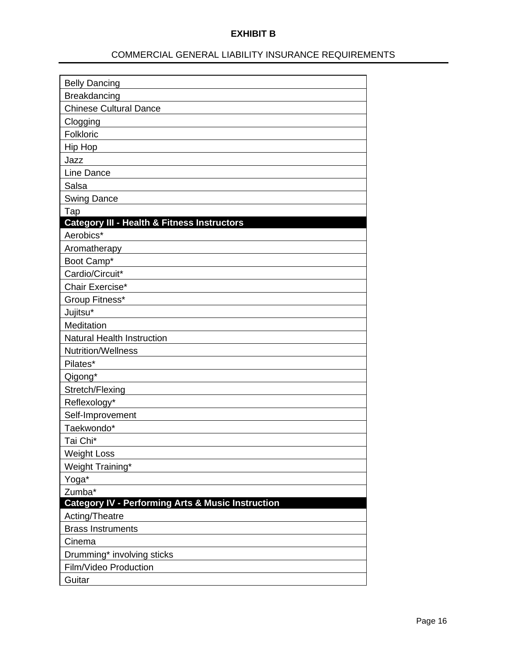## COMMERCIAL GENERAL LIABILITY INSURANCE REQUIREMENTS

| <b>Belly Dancing</b>                                         |
|--------------------------------------------------------------|
| Breakdancing                                                 |
| <b>Chinese Cultural Dance</b>                                |
| Clogging                                                     |
| Folkloric                                                    |
| Hip Hop                                                      |
| Jazz                                                         |
| Line Dance                                                   |
| Salsa                                                        |
| <b>Swing Dance</b>                                           |
| Tap                                                          |
| <b>Category III - Health &amp; Fitness Instructors</b>       |
| Aerobics*                                                    |
| Aromatherapy                                                 |
| Boot Camp*                                                   |
| Cardio/Circuit*                                              |
| Chair Exercise*                                              |
| Group Fitness*                                               |
| Jujitsu*                                                     |
| Meditation                                                   |
| <b>Natural Health Instruction</b>                            |
| Nutrition/Wellness                                           |
| Pilates*                                                     |
| Qigong*                                                      |
| Stretch/Flexing                                              |
| Reflexology*                                                 |
| Self-Improvement                                             |
| Taekwondo*                                                   |
| Tai Chi*                                                     |
| <b>Weight Loss</b>                                           |
| Weight Training*                                             |
| Yoga*                                                        |
| Zumba*                                                       |
| <b>Category IV - Performing Arts &amp; Music Instruction</b> |
| Acting/Theatre                                               |
| <b>Brass Instruments</b>                                     |
| Cinema                                                       |
| Drumming* involving sticks                                   |
| Film/Video Production                                        |
| Guitar                                                       |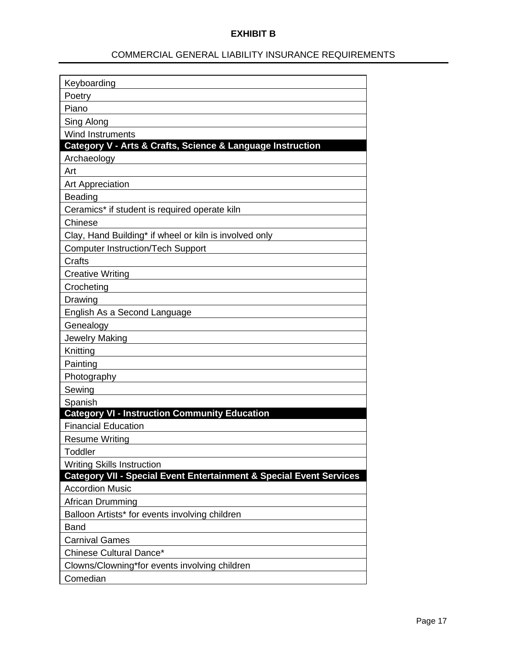## COMMERCIAL GENERAL LIABILITY INSURANCE REQUIREMENTS

| Keyboarding                                                         |
|---------------------------------------------------------------------|
| Poetry                                                              |
| Piano                                                               |
| Sing Along                                                          |
| <b>Wind Instruments</b>                                             |
| Category V - Arts & Crafts, Science & Language Instruction          |
| Archaeology                                                         |
| Art                                                                 |
| <b>Art Appreciation</b>                                             |
| <b>Beading</b>                                                      |
| Ceramics* if student is required operate kiln                       |
| Chinese                                                             |
| Clay, Hand Building* if wheel or kiln is involved only              |
| <b>Computer Instruction/Tech Support</b>                            |
| Crafts                                                              |
| <b>Creative Writing</b>                                             |
| Crocheting                                                          |
| Drawing                                                             |
| English As a Second Language                                        |
| Genealogy                                                           |
| <b>Jewelry Making</b>                                               |
| Knitting                                                            |
| Painting                                                            |
| Photography                                                         |
| Sewing                                                              |
| Spanish                                                             |
| <b>Category VI - Instruction Community Education</b>                |
| <b>Financial Education</b>                                          |
| <b>Resume Writing</b>                                               |
| Toddler                                                             |
| <b>Writing Skills Instruction</b>                                   |
| Category VII - Special Event Entertainment & Special Event Services |
| <b>Accordion Music</b>                                              |
| African Drumming                                                    |
| Balloon Artists* for events involving children                      |
| <b>Band</b>                                                         |
| <b>Carnival Games</b>                                               |
| Chinese Cultural Dance*                                             |
| Clowns/Clowning*for events involving children                       |
| Comedian                                                            |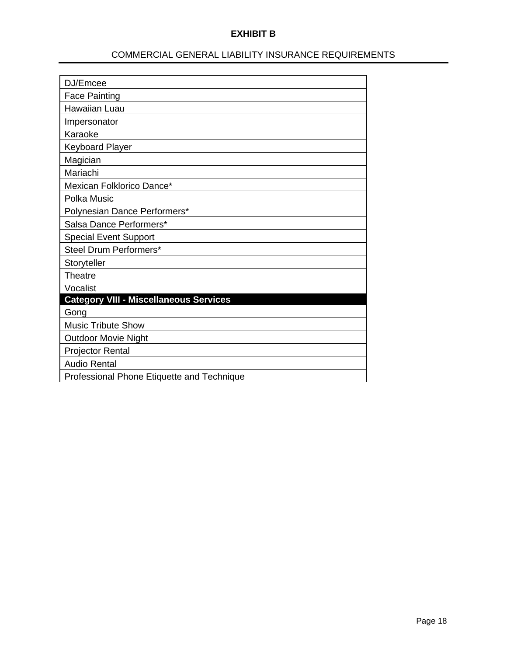## COMMERCIAL GENERAL LIABILITY INSURANCE REQUIREMENTS

| DJ/Emcee                                      |
|-----------------------------------------------|
| <b>Face Painting</b>                          |
| Hawaiian Luau                                 |
| Impersonator                                  |
| Karaoke                                       |
| <b>Keyboard Player</b>                        |
| Magician                                      |
| Mariachi                                      |
| Mexican Folklorico Dance*                     |
| Polka Music                                   |
| Polynesian Dance Performers*                  |
| Salsa Dance Performers*                       |
| <b>Special Event Support</b>                  |
| Steel Drum Performers*                        |
| Storyteller                                   |
| Theatre                                       |
| Vocalist                                      |
| <b>Category VIII - Miscellaneous Services</b> |
| Gong                                          |
| <b>Music Tribute Show</b>                     |
| <b>Outdoor Movie Night</b>                    |
| <b>Projector Rental</b>                       |
| <b>Audio Rental</b>                           |
| Professional Phone Etiquette and Technique    |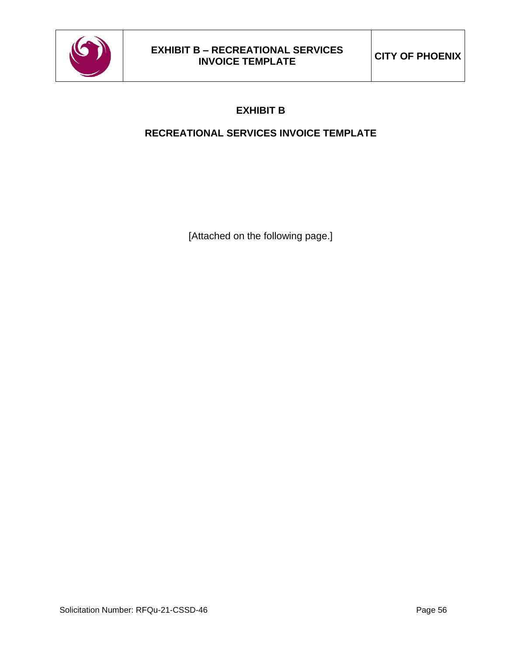

## **RECREATIONAL SERVICES INVOICE TEMPLATE**

[Attached on the following page.]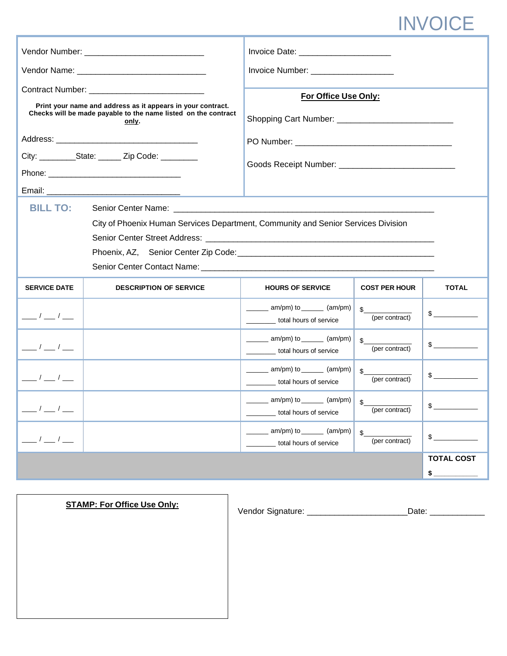# INVOICE

|                                                                                                                                                                                                                    |                               | Invoice Number: ______________________                                                                    |                                |                          |  |
|--------------------------------------------------------------------------------------------------------------------------------------------------------------------------------------------------------------------|-------------------------------|-----------------------------------------------------------------------------------------------------------|--------------------------------|--------------------------|--|
| Print your name and address as it appears in your contract.<br>Checks will be made payable to the name listed on the contract<br>only.<br>City: ____________State: _______ Zip Code: __________<br><b>BILL TO:</b> |                               | For Office Use Only:<br>City of Phoenix Human Services Department, Community and Senior Services Division |                                |                          |  |
|                                                                                                                                                                                                                    |                               |                                                                                                           |                                |                          |  |
|                                                                                                                                                                                                                    |                               |                                                                                                           |                                |                          |  |
| <b>SERVICE DATE</b>                                                                                                                                                                                                | <b>DESCRIPTION OF SERVICE</b> | <b>HOURS OF SERVICE</b>                                                                                   | <b>COST PER HOUR</b>           | <b>TOTAL</b>             |  |
| $\frac{\frac{1}{2}}{1-\frac{1}{2}}$                                                                                                                                                                                |                               | $\frac{1}{\sqrt{2\pi}}$ am/pm) to $\frac{1}{\sqrt{2\pi}}$ (am/pm)<br>__________ total hours of service    | \$<br>(per contract)           | $\frac{1}{2}$            |  |
| $\frac{1}{\sqrt{2}}$                                                                                                                                                                                               |                               | $\frac{1}{\sqrt{2\pi}}$ am/pm) to $\frac{1}{\sqrt{2\pi}}$ (am/pm)<br>_________ total hours of service     | $\mathbb{S}$<br>(per contract) | $\frac{1}{2}$            |  |
| $\frac{1}{\sqrt{1-\frac{1}{2}}}$                                                                                                                                                                                   |                               | $\frac{1}{\text{mm}}$ am/pm) to $\frac{1}{\text{mm}}$ (am/pm)<br>total hours of service                   | s<br>(per contract)            |                          |  |
| $\frac{\ }{\ }$ / $\frac{\ }{\ }$ / $\frac{\ }{\ }$                                                                                                                                                                |                               | $\frac{1}{\sqrt{2}}$ am/pm) to $\frac{1}{\sqrt{2}}$ (am/pm)<br>total hours of service                     | \$<br>(per contract)           | $\frac{1}{2}$            |  |
| $\frac{1}{\sqrt{2}}$                                                                                                                                                                                               |                               | $am/pm)$ to $(am/pm)$<br>total hours of service                                                           | \$<br>(per contract)           | \$                       |  |
|                                                                                                                                                                                                                    |                               |                                                                                                           |                                | <b>TOTAL COST</b><br>$$$ |  |

| <b>STAMP: For Office Use Only:</b> | Vendor Signature |  |
|------------------------------------|------------------|--|
|                                    |                  |  |
|                                    |                  |  |
|                                    |                  |  |

Vendor Signature: \_\_\_\_\_\_\_\_\_\_\_\_\_\_\_\_\_\_\_\_\_\_Date: \_\_\_\_\_\_\_\_\_\_\_\_